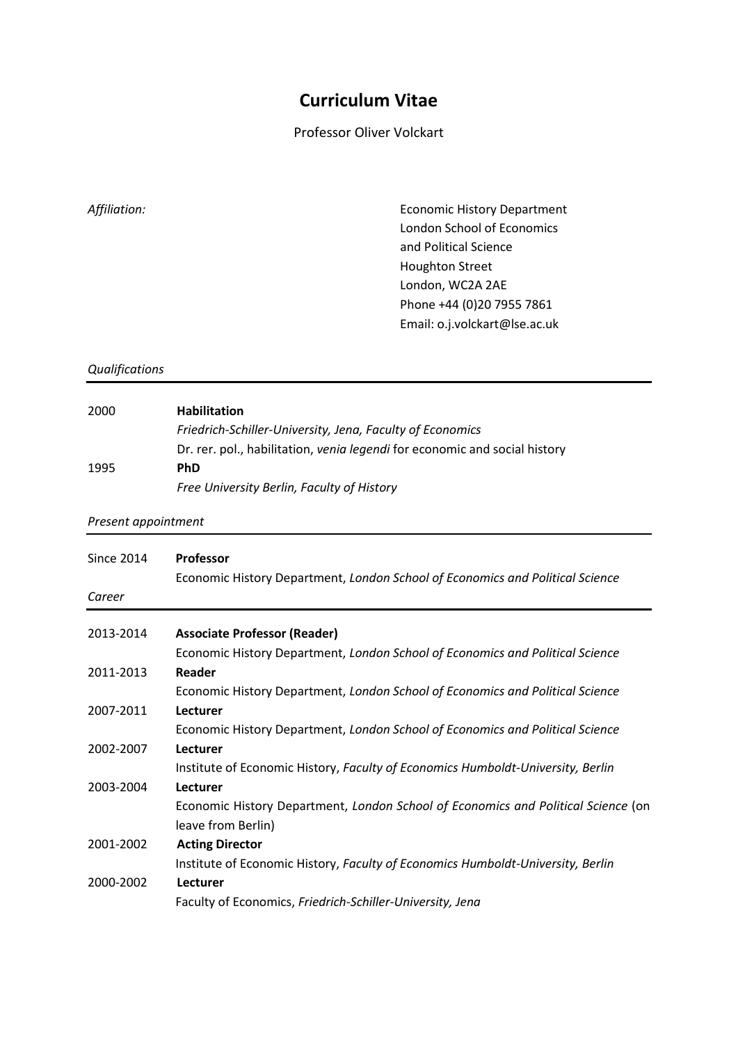## **Curriculum Vitae**

Professor Oliver Volckart

*Affiliation:* Economic History Department London School of Economics and Political Science Houghton Street London, WC2A 2AE Phone +44 (0)20 7955 7861 Email: o.j.volckart@lse.ac.uk

## *Qualifications*

| 2000 | <b>Habilitation</b>                                                        |
|------|----------------------------------------------------------------------------|
|      | Friedrich-Schiller-University, Jena, Faculty of Economics                  |
|      | Dr. rer. pol., habilitation, venia legendi for economic and social history |
| 1995 | <b>PhD</b>                                                                 |
|      | Free University Berlin, Faculty of History                                 |

*Present appointment*

| <b>Since 2014</b> | <b>Professor</b><br>Economic History Department, London School of Economics and Political Science |
|-------------------|---------------------------------------------------------------------------------------------------|
| Career            |                                                                                                   |
| 2013-2014         | <b>Associate Professor (Reader)</b>                                                               |
|                   | Economic History Department, London School of Economics and Political Science                     |
| 2011-2013         | Reader                                                                                            |
|                   | Economic History Department, London School of Economics and Political Science                     |
| 2007-2011         | Lecturer                                                                                          |
|                   | Economic History Department, London School of Economics and Political Science                     |
| 2002-2007         | Lecturer                                                                                          |
|                   | Institute of Economic History, Faculty of Economics Humboldt-University, Berlin                   |
| 2003-2004         | Lecturer                                                                                          |
|                   | Economic History Department, London School of Economics and Political Science (on                 |
|                   | leave from Berlin)                                                                                |
| 2001-2002         | <b>Acting Director</b>                                                                            |
|                   | Institute of Economic History, Faculty of Economics Humboldt-University, Berlin                   |
| 2000-2002         | Lecturer                                                                                          |
|                   | Faculty of Economics, Friedrich-Schiller-University, Jena                                         |